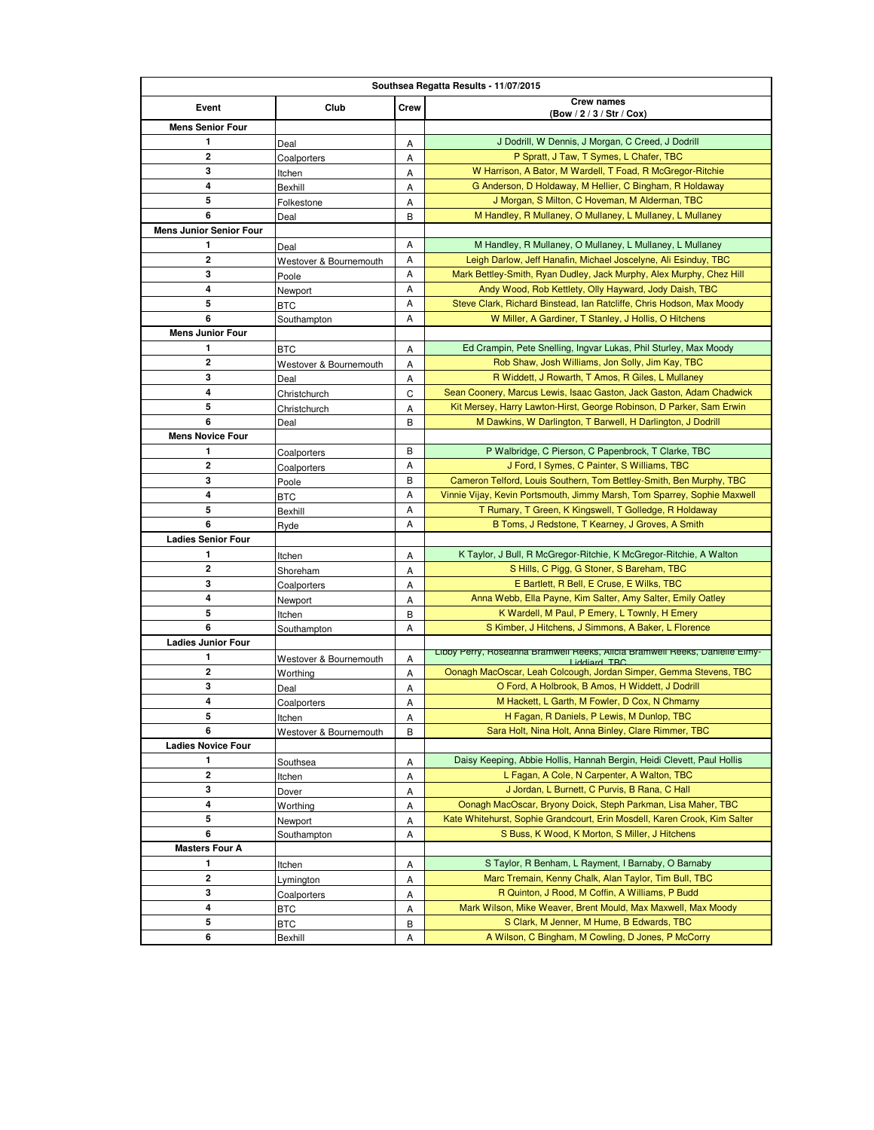| Southsea Regatta Results - 11/07/2015 |                        |        |                                                                                                    |  |  |
|---------------------------------------|------------------------|--------|----------------------------------------------------------------------------------------------------|--|--|
| Event                                 | Club                   | Crew   | <b>Crew names</b>                                                                                  |  |  |
| <b>Mens Senior Four</b>               |                        |        | (Bow / 2 / 3 / Str / Cox)                                                                          |  |  |
| 1                                     |                        |        | J Dodrill, W Dennis, J Morgan, C Creed, J Dodrill                                                  |  |  |
| 2                                     | Deal                   | Α      | P Spratt, J Taw, T Symes, L Chafer, TBC                                                            |  |  |
| 3                                     | Coalporters<br>Itchen  | А<br>Α | W Harrison, A Bator, M Wardell, T Foad, R McGregor-Ritchie                                         |  |  |
| 4                                     | Bexhill                | А      | G Anderson, D Holdaway, M Hellier, C Bingham, R Holdaway                                           |  |  |
| 5                                     | Folkestone             | Α      | J Morgan, S Milton, C Hoveman, M Alderman, TBC                                                     |  |  |
| 6                                     | Deal                   | B      | M Handley, R Mullaney, O Mullaney, L Mullaney, L Mullaney                                          |  |  |
| <b>Mens Junior Senior Four</b>        |                        |        |                                                                                                    |  |  |
| 1                                     | Deal                   | Α      | M Handley, R Mullaney, O Mullaney, L Mullaney, L Mullaney                                          |  |  |
| 2                                     | Westover & Bournemouth | Α      | Leigh Darlow, Jeff Hanafin, Michael Joscelyne, Ali Esinduy, TBC                                    |  |  |
| 3                                     | Poole                  | Α      | Mark Bettley-Smith, Ryan Dudley, Jack Murphy, Alex Murphy, Chez Hill                               |  |  |
| 4                                     | Newport                | Α      | Andy Wood, Rob Kettlety, Olly Hayward, Jody Daish, TBC                                             |  |  |
| 5                                     | <b>BTC</b>             | Α      | Steve Clark, Richard Binstead, Ian Ratcliffe, Chris Hodson, Max Moody                              |  |  |
| 6                                     | Southampton            | Α      | W Miller, A Gardiner, T Stanley, J Hollis, O Hitchens                                              |  |  |
| <b>Mens Junior Four</b>               |                        |        |                                                                                                    |  |  |
| 1                                     | BTC                    | А      | Ed Crampin, Pete Snelling, Ingvar Lukas, Phil Sturley, Max Moody                                   |  |  |
| 2                                     | Westover & Bournemouth | Α      | Rob Shaw, Josh Williams, Jon Solly, Jim Kay, TBC                                                   |  |  |
| 3                                     | Deal                   | Α      | R Widdett, J Rowarth, T Amos, R Giles, L Mullaney                                                  |  |  |
| 4                                     | Christchurch           | C      | Sean Coonery, Marcus Lewis, Isaac Gaston, Jack Gaston, Adam Chadwick                               |  |  |
| 5                                     | Christchurch           | Α      | Kit Mersey, Harry Lawton-Hirst, George Robinson, D Parker, Sam Erwin                               |  |  |
| 6                                     | Deal                   | В      | M Dawkins, W Darlington, T Barwell, H Darlington, J Dodrill                                        |  |  |
| <b>Mens Novice Four</b>               |                        |        |                                                                                                    |  |  |
| 1                                     | Coalporters            | B      | P Walbridge, C Pierson, C Papenbrock, T Clarke, TBC                                                |  |  |
| $\mathbf{2}$                          | Coalporters            | Α      | J Ford, I Symes, C Painter, S Williams, TBC                                                        |  |  |
| 3                                     | Poole                  | В      | Cameron Telford, Louis Southern, Tom Bettley-Smith, Ben Murphy, TBC                                |  |  |
| 4                                     | BTC                    | Α      | Vinnie Vijay, Kevin Portsmouth, Jimmy Marsh, Tom Sparrey, Sophie Maxwell                           |  |  |
| 5                                     | Bexhill                | Α      | T Rumary, T Green, K Kingswell, T Golledge, R Holdaway                                             |  |  |
| 6                                     | Ryde                   | Α      | B Toms, J Redstone, T Kearney, J Groves, A Smith                                                   |  |  |
| <b>Ladies Senior Four</b>             |                        |        |                                                                                                    |  |  |
| 1                                     | Itchen                 | А      | K Taylor, J Bull, R McGregor-Ritchie, K McGregor-Ritchie, A Walton                                 |  |  |
| 2                                     | Shoreham               | Α      | S Hills, C Pigg, G Stoner, S Bareham, TBC                                                          |  |  |
| 3                                     | Coalporters            | А      | E Bartlett, R Bell, E Cruse, E Wilks, TBC                                                          |  |  |
| 4                                     | Newport                | Α      | Anna Webb, Ella Payne, Kim Salter, Amy Salter, Emily Oatley                                        |  |  |
| 5                                     | Itchen                 | В      | K Wardell, M Paul, P Emery, L Townly, H Emery                                                      |  |  |
| 6                                     | Southampton            | Α      | S Kimber, J Hitchens, J Simmons, A Baker, L Florence                                               |  |  |
| <b>Ladies Junior Four</b>             |                        |        | Libby Perry, Roseanna Bramweil Reeks, Alicia Bramweil Reeks, Danielle Elmy-                        |  |  |
| 1                                     | Westover & Bournemouth | Α      | iddiard TRC                                                                                        |  |  |
| 2                                     | Worthing               | Α      | Oonagh MacOscar, Leah Colcough, Jordan Simper, Gemma Stevens, TBC                                  |  |  |
| 3                                     | Deal                   | А      | O Ford, A Holbrook, B Amos, H Widdett, J Dodrill                                                   |  |  |
| 4                                     | Coalporters            | Α      | M Hackett, L Garth, M Fowler, D Cox, N Chmarny                                                     |  |  |
| 5<br>6                                | Itchen                 | Α      | H Fagan, R Daniels, P Lewis, M Dunlop, TBC<br>Sara Holt, Nina Holt, Anna Binley, Clare Rimmer, TBC |  |  |
| <b>Ladies Novice Four</b>             | Westover & Bournemouth | В      |                                                                                                    |  |  |
| 1                                     |                        |        | Daisy Keeping, Abbie Hollis, Hannah Bergin, Heidi Clevett, Paul Hollis                             |  |  |
| 2                                     | Southsea               | А      | L Fagan, A Cole, N Carpenter, A Walton, TBC                                                        |  |  |
| 3                                     | Itchen                 | Α      | J Jordan, L Burnett, C Purvis, B Rana, C Hall                                                      |  |  |
| 4                                     | Dover                  | Α      | Oonagh MacOscar, Bryony Doick, Steph Parkman, Lisa Maher, TBC                                      |  |  |
| 5                                     | Worthing               | Α      | Kate Whitehurst, Sophie Grandcourt, Erin Mosdell, Karen Crook, Kim Salter                          |  |  |
| 6                                     | Newport<br>Southampton | Α<br>Α | S Buss, K Wood, K Morton, S Miller, J Hitchens                                                     |  |  |
| <b>Masters Four A</b>                 |                        |        |                                                                                                    |  |  |
| 1                                     | Itchen                 | А      | S Taylor, R Benham, L Rayment, I Barnaby, O Barnaby                                                |  |  |
| 2                                     | Lymington              | Α      | Marc Tremain, Kenny Chalk, Alan Taylor, Tim Bull, TBC                                              |  |  |
| 3                                     | Coalporters            | Α      | R Quinton, J Rood, M Coffin, A Williams, P Budd                                                    |  |  |
| 4                                     | <b>BTC</b>             | Α      | Mark Wilson, Mike Weaver, Brent Mould, Max Maxwell, Max Moody                                      |  |  |
| 5                                     | BTC                    | В      | S Clark, M Jenner, M Hume, B Edwards, TBC                                                          |  |  |
| 6                                     | Bexhill                | Α      | A Wilson, C Bingham, M Cowling, D Jones, P McCorry                                                 |  |  |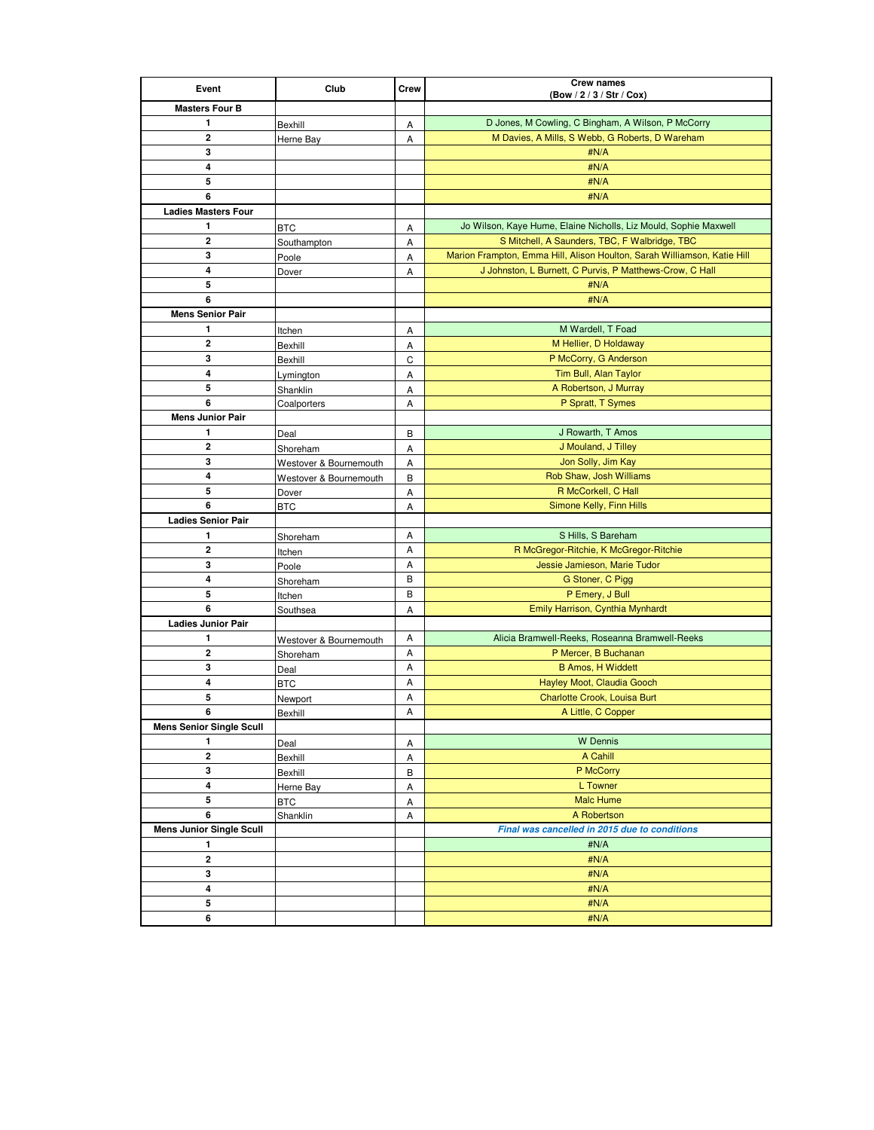| Event                           | Club                   | Crew   | <b>Crew names</b>                                                        |
|---------------------------------|------------------------|--------|--------------------------------------------------------------------------|
| <b>Masters Four B</b>           |                        |        | (Bow / 2 / 3 / Str / Cox)                                                |
| 1                               |                        |        | D Jones, M Cowling, C Bingham, A Wilson, P McCorry                       |
| 2                               | Bexhill                | Α<br>Α | M Davies, A Mills, S Webb, G Roberts, D Wareham                          |
| 3                               | Herne Bay              |        | #N/A                                                                     |
| 4                               |                        |        | #N/A                                                                     |
| 5                               |                        |        | #N/A                                                                     |
| 6                               |                        |        | #N/A                                                                     |
| <b>Ladies Masters Four</b>      |                        |        |                                                                          |
| 1                               | <b>BTC</b>             | Α      | Jo Wilson, Kaye Hume, Elaine Nicholls, Liz Mould, Sophie Maxwell         |
| 2                               | Southampton            | Α      | S Mitchell, A Saunders, TBC, F Walbridge, TBC                            |
| 3                               | Poole                  | Α      | Marion Frampton, Emma Hill, Alison Houlton, Sarah Williamson, Katie Hill |
| 4                               | Dover                  | Α      | J Johnston, L Burnett, C Purvis, P Matthews-Crow, C Hall                 |
| 5                               |                        |        | #N/A                                                                     |
| 6                               |                        |        | #N/A                                                                     |
| <b>Mens Senior Pair</b>         |                        |        |                                                                          |
| 1                               | Itchen                 | Α      | M Wardell, T Foad                                                        |
| 2                               | Bexhill                | Α      | M Hellier, D Holdaway                                                    |
| 3                               | Bexhill                | C      | P McCorry, G Anderson                                                    |
| 4                               | Lymington              | Α      | Tim Bull, Alan Taylor                                                    |
| 5                               | Shanklin               | Α      | A Robertson, J Murray                                                    |
| 6                               | Coalporters            | Α      | P Spratt, T Symes                                                        |
| <b>Mens Junior Pair</b>         |                        |        |                                                                          |
| 1                               | Deal                   | В      | J Rowarth, T Amos                                                        |
| 2                               | Shoreham               | Α      | J Mouland, J Tilley                                                      |
| 3                               | Westover & Bournemouth | Α      | Jon Solly, Jim Kay                                                       |
| $\overline{\mathbf{4}}$         | Westover & Bournemouth | В      | Rob Shaw, Josh Williams                                                  |
| 5                               | Dover                  | Α      | R McCorkell, C Hall                                                      |
| 6                               | BTC                    | Α      | Simone Kelly, Finn Hills                                                 |
| <b>Ladies Senior Pair</b>       |                        |        |                                                                          |
| 1                               | Shoreham               | Α      | S Hills, S Bareham                                                       |
| 2                               | Itchen                 | Α      | R McGregor-Ritchie, K McGregor-Ritchie                                   |
| 3                               | Poole                  | Α      | Jessie Jamieson, Marie Tudor                                             |
| 4                               | Shoreham               | B      | G Stoner, C Pigg                                                         |
| 5                               | Itchen                 | В      | P Emery, J Bull                                                          |
| 6                               | Southsea               | Α      | Emily Harrison, Cynthia Mynhardt                                         |
| <b>Ladies Junior Pair</b>       |                        |        |                                                                          |
| 1                               | Westover & Bournemouth | Α      | Alicia Bramwell-Reeks, Roseanna Bramwell-Reeks                           |
| $\overline{2}$                  | Shoreham               | Α      | P Mercer, B Buchanan                                                     |
| 3                               | Deal                   | Α      | <b>B Amos, H Widdett</b>                                                 |
| 4                               | BTC                    | Α      | Hayley Moot, Claudia Gooch                                               |
| 5<br>6                          | Newport                | Α<br>Α | Charlotte Crook, Louisa Burt<br>A Little, C Copper                       |
| <b>Mens Senior Single Scull</b> | Bexhill                |        |                                                                          |
| 1                               |                        |        | <b>W</b> Dennis                                                          |
| $\mathbf{2}$                    | Deal                   | Α      | A Cahill                                                                 |
| 3                               | Bexhill                | A      | P McCorry                                                                |
| 4                               | Bexhill<br>Herne Bay   | В<br>Α | L Towner                                                                 |
| 5                               |                        |        | <b>Malc Hume</b>                                                         |
| 6                               | BTC<br>Shanklin        | Α<br>Α | A Robertson                                                              |
| <b>Mens Junior Single Scull</b> |                        |        | Final was cancelled in 2015 due to conditions                            |
| 1                               |                        |        | #N/A                                                                     |
| 2                               |                        |        | #N/A                                                                     |
| 3                               |                        |        | #N/A                                                                     |
| 4                               |                        |        | #N/A                                                                     |
| 5                               |                        |        | #N/A                                                                     |
| 6                               |                        |        | #N/A                                                                     |
|                                 |                        |        |                                                                          |